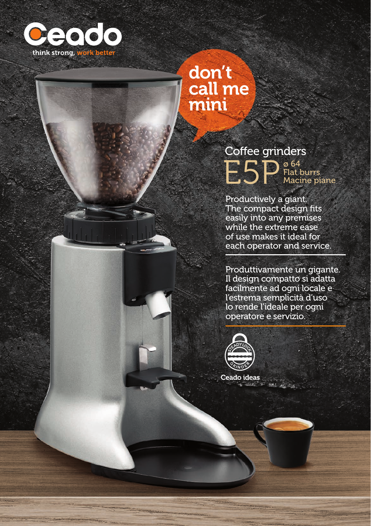

#### don't call me mini

**PSP** Coffee grinders ø 64 Flat burrs Macine piane

Productively a giant. The compact design fits easily into any premises while the extreme ease of use makes it ideal for each operator and service.

Produttivamente un gigante. Il design compatto si adatta facilmente ad ogni locale e l'estrema semplicità d'uso lo rende l'ideale per ogni operatore e servizio.



Ceado ideas